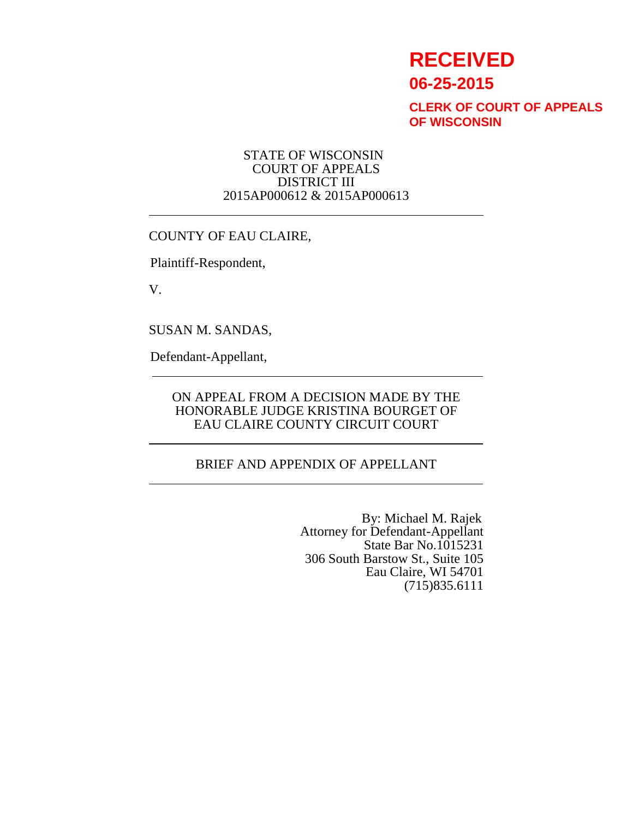# **RECEIVED**

**06-25-2015**

**CLERK OF COURT OF APPEALS OF WISCONSIN**

#### STATE OF WISCONSIN COURT OF APPEALS DISTRICT III 2015AP000612 & 2015AP000613

#### COUNTY OF EAU CLAIRE,

Plaintiff-Respondent,

V.

SUSAN M. SANDAS,

Defendant-Appellant,

#### ON APPEAL FROM A DECISION MADE BY THE HONORABLE JUDGE KRISTINA BOURGET OF EAU CLAIRE COUNTY CIRCUIT COURT

### BRIEF AND APPENDIX OF APPELLANT

 By: Michael M. Rajek Attorney for Defendant-Appellant State Bar No.1015231 306 South Barstow St., Suite 105 Eau Claire, WI 54701 (715)835.6111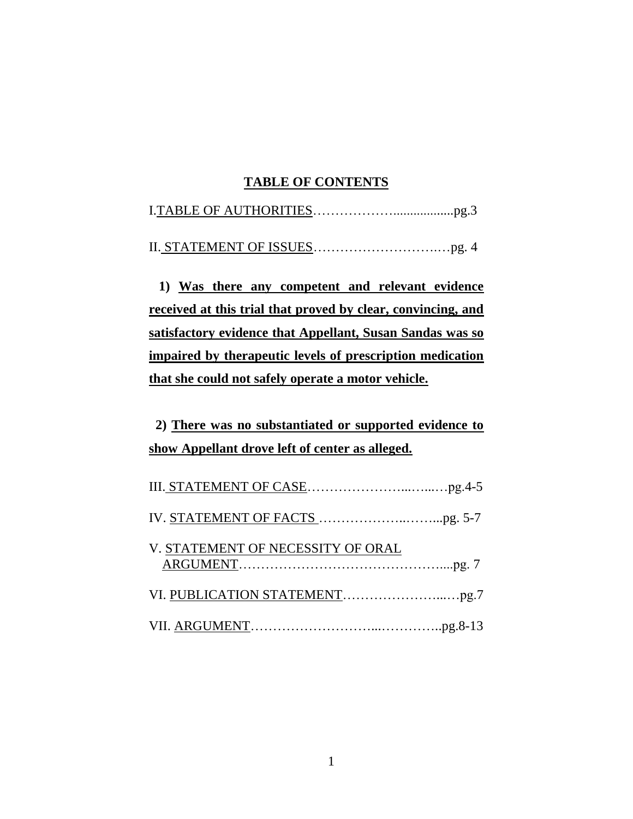## **TABLE OF CONTENTS**

II. STATEMENT OF ISSUES……………………….…pg. 4

 **1) Was there any competent and relevant evidence received at this trial that proved by clear, convincing, and satisfactory evidence that Appellant, Susan Sandas was so impaired by therapeutic levels of prescription medication that she could not safely operate a motor vehicle.**

 **2) There was no substantiated or supported evidence to show Appellant drove left of center as alleged.**

| V. STATEMENT OF NECESSITY OF ORAL |  |
|-----------------------------------|--|
|                                   |  |
|                                   |  |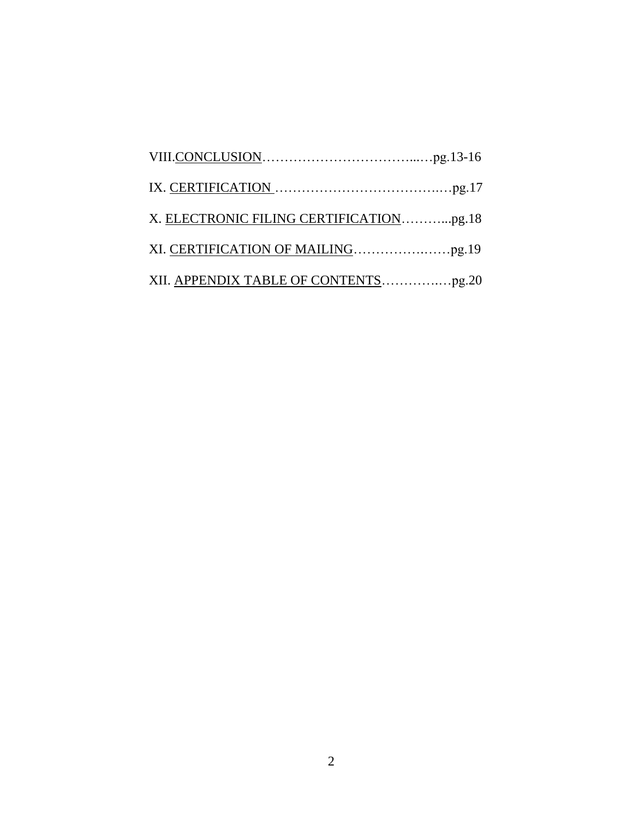| X. ELECTRONIC FILING CERTIFICATIONpg.18 |  |
|-----------------------------------------|--|
|                                         |  |
|                                         |  |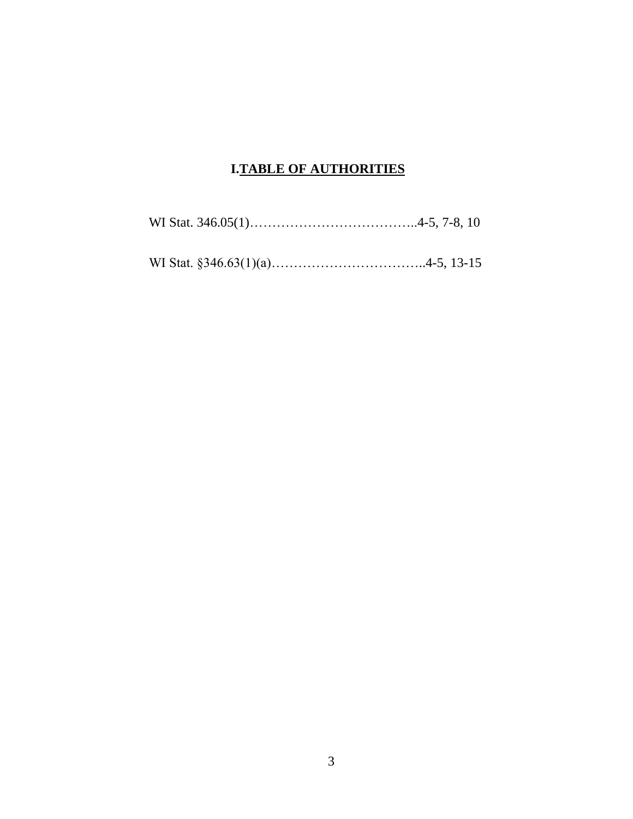# **I.TABLE OF AUTHORITIES**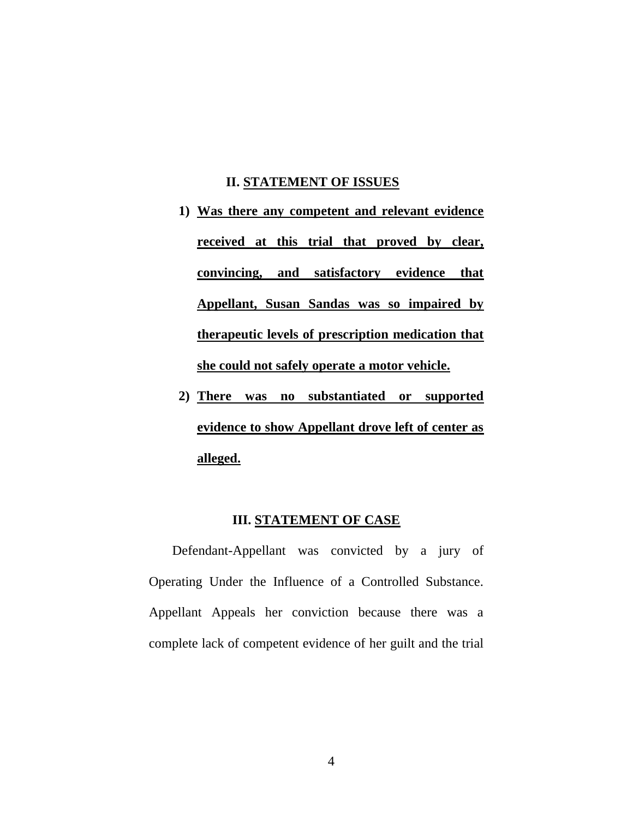#### **II. STATEMENT OF ISSUES**

- **1) Was there any competent and relevant evidence received at this trial that proved by clear, convincing, and satisfactory evidence that Appellant, Susan Sandas was so impaired by therapeutic levels of prescription medication that she could not safely operate a motor vehicle.**
- **2) There was no substantiated or supported evidence to show Appellant drove left of center as alleged.**

#### **III. STATEMENT OF CASE**

Defendant-Appellant was convicted by a jury of Operating Under the Influence of a Controlled Substance. Appellant Appeals her conviction because there was a complete lack of competent evidence of her guilt and the trial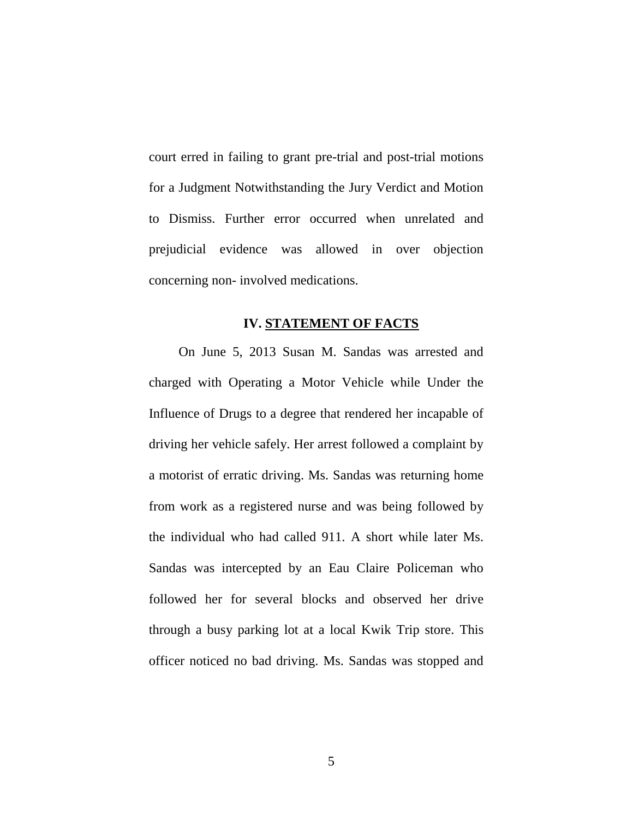court erred in failing to grant pre-trial and post-trial motions for a Judgment Notwithstanding the Jury Verdict and Motion to Dismiss. Further error occurred when unrelated and prejudicial evidence was allowed in over objection concerning non- involved medications.

#### **IV. STATEMENT OF FACTS**

On June 5, 2013 Susan M. Sandas was arrested and charged with Operating a Motor Vehicle while Under the Influence of Drugs to a degree that rendered her incapable of driving her vehicle safely. Her arrest followed a complaint by a motorist of erratic driving. Ms. Sandas was returning home from work as a registered nurse and was being followed by the individual who had called 911. A short while later Ms. Sandas was intercepted by an Eau Claire Policeman who followed her for several blocks and observed her drive through a busy parking lot at a local Kwik Trip store. This officer noticed no bad driving. Ms. Sandas was stopped and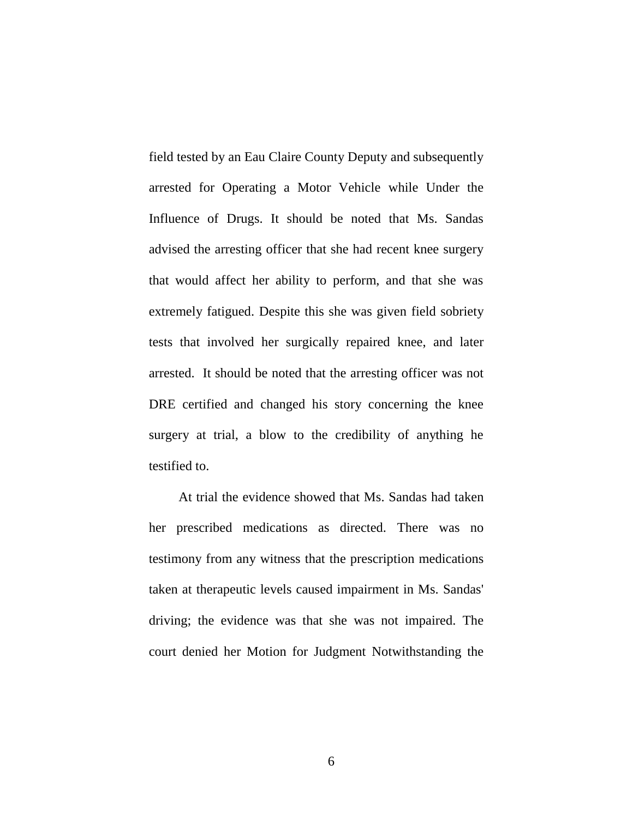field tested by an Eau Claire County Deputy and subsequently arrested for Operating a Motor Vehicle while Under the Influence of Drugs. It should be noted that Ms. Sandas advised the arresting officer that she had recent knee surgery that would affect her ability to perform, and that she was extremely fatigued. Despite this she was given field sobriety tests that involved her surgically repaired knee, and later arrested. It should be noted that the arresting officer was not DRE certified and changed his story concerning the knee surgery at trial, a blow to the credibility of anything he testified to.

At trial the evidence showed that Ms. Sandas had taken her prescribed medications as directed. There was no testimony from any witness that the prescription medications taken at therapeutic levels caused impairment in Ms. Sandas' driving; the evidence was that she was not impaired. The court denied her Motion for Judgment Notwithstanding the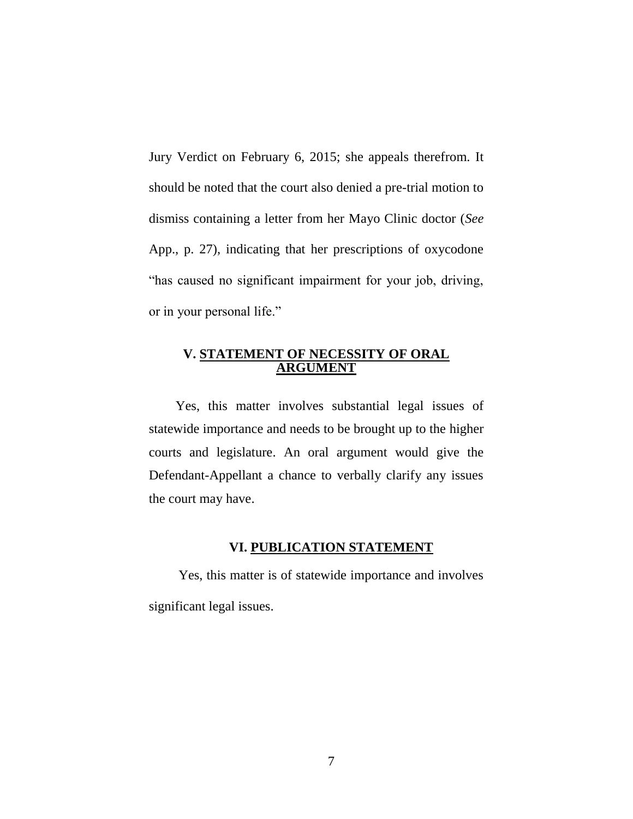Jury Verdict on February 6, 2015; she appeals therefrom. It should be noted that the court also denied a pre-trial motion to dismiss containing a letter from her Mayo Clinic doctor (*See*  App., p. 27), indicating that her prescriptions of oxycodone "has caused no significant impairment for your job, driving, or in your personal life."

#### **V. STATEMENT OF NECESSITY OF ORAL ARGUMENT**

 Yes, this matter involves substantial legal issues of statewide importance and needs to be brought up to the higher courts and legislature. An oral argument would give the Defendant-Appellant a chance to verbally clarify any issues the court may have.

## **VI. PUBLICATION STATEMENT**

Yes, this matter is of statewide importance and involves significant legal issues.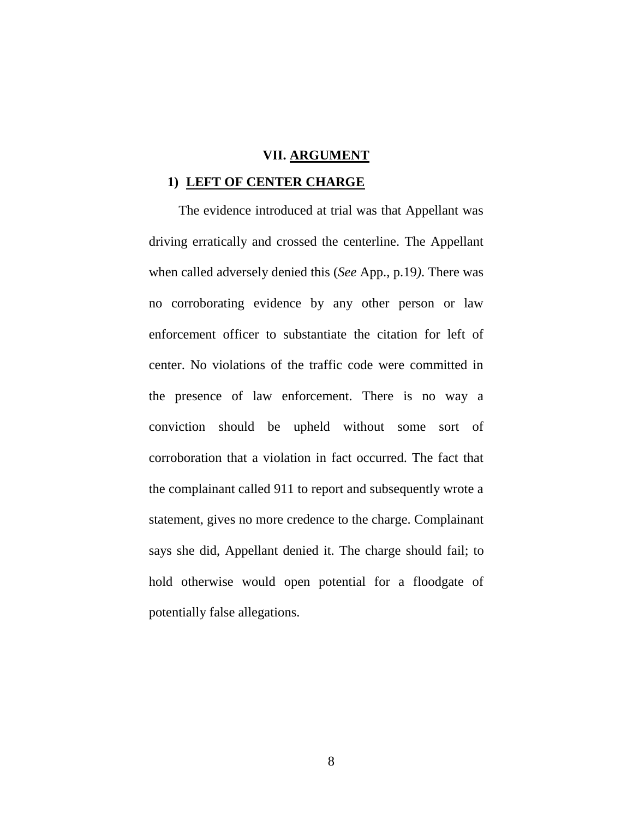## **VII. ARGUMENT**

#### **1) LEFT OF CENTER CHARGE**

The evidence introduced at trial was that Appellant was driving erratically and crossed the centerline. The Appellant when called adversely denied this (*See* App., p.19*)*. There was no corroborating evidence by any other person or law enforcement officer to substantiate the citation for left of center. No violations of the traffic code were committed in the presence of law enforcement. There is no way a conviction should be upheld without some sort of corroboration that a violation in fact occurred. The fact that the complainant called 911 to report and subsequently wrote a statement, gives no more credence to the charge. Complainant says she did, Appellant denied it. The charge should fail; to hold otherwise would open potential for a floodgate of potentially false allegations.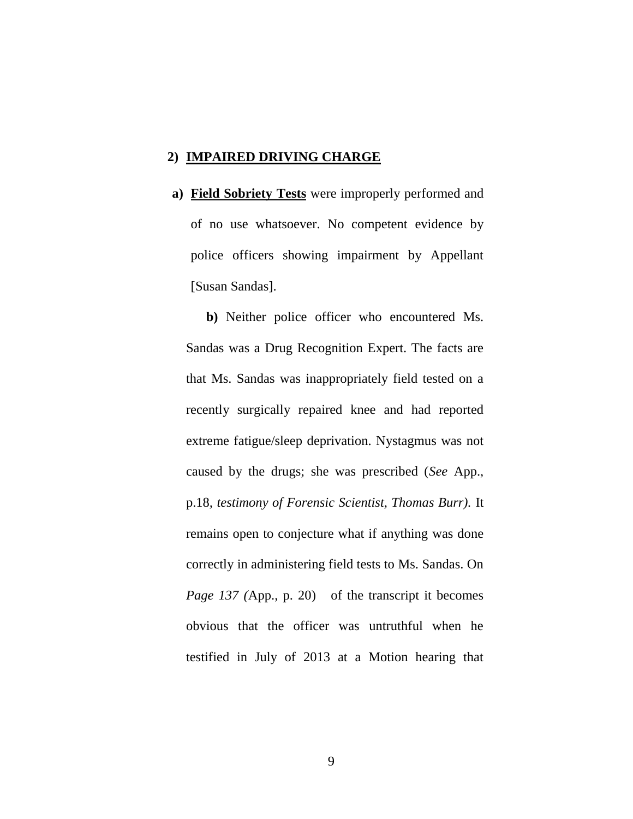#### **2) IMPAIRED DRIVING CHARGE**

**a) Field Sobriety Tests** were improperly performed and of no use whatsoever. No competent evidence by police officers showing impairment by Appellant [Susan Sandas].

 **b)** Neither police officer who encountered Ms. Sandas was a Drug Recognition Expert. The facts are that Ms. Sandas was inappropriately field tested on a recently surgically repaired knee and had reported extreme fatigue/sleep deprivation. Nystagmus was not caused by the drugs; she was prescribed (*See* App., p.18*, testimony of Forensic Scientist, Thomas Burr).* It remains open to conjecture what if anything was done correctly in administering field tests to Ms. Sandas. On *Page 137 (*App., p. 20)of the transcript it becomes obvious that the officer was untruthful when he testified in July of 2013 at a Motion hearing that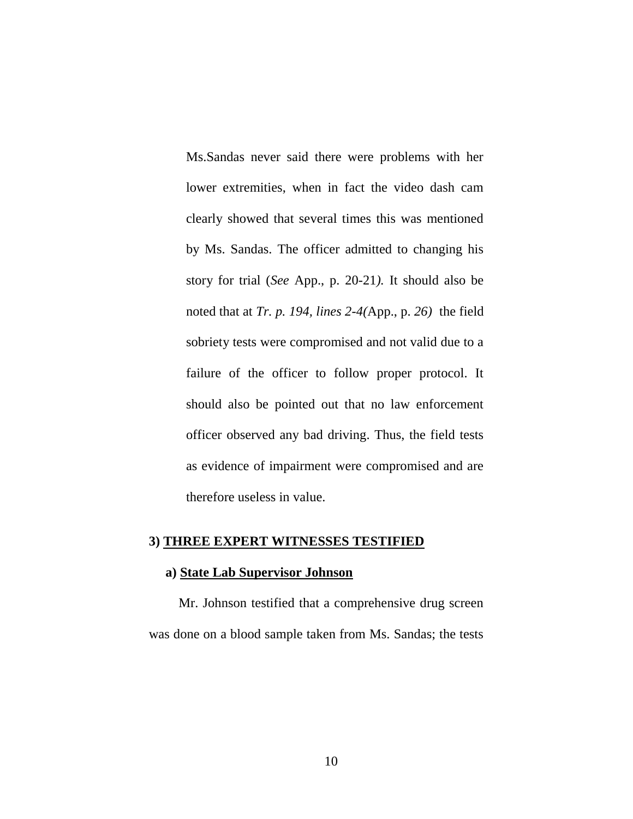Ms.Sandas never said there were problems with her lower extremities, when in fact the video dash cam clearly showed that several times this was mentioned by Ms. Sandas. The officer admitted to changing his story for trial (*See* App., p. 20-21*).* It should also be noted that at *Tr. p. 194, lines 2-4(*App., p. *26)* the field sobriety tests were compromised and not valid due to a failure of the officer to follow proper protocol. It should also be pointed out that no law enforcement officer observed any bad driving. Thus, the field tests as evidence of impairment were compromised and are therefore useless in value.

#### **3) THREE EXPERT WITNESSES TESTIFIED**

#### **a) State Lab Supervisor Johnson**

Mr. Johnson testified that a comprehensive drug screen was done on a blood sample taken from Ms. Sandas; the tests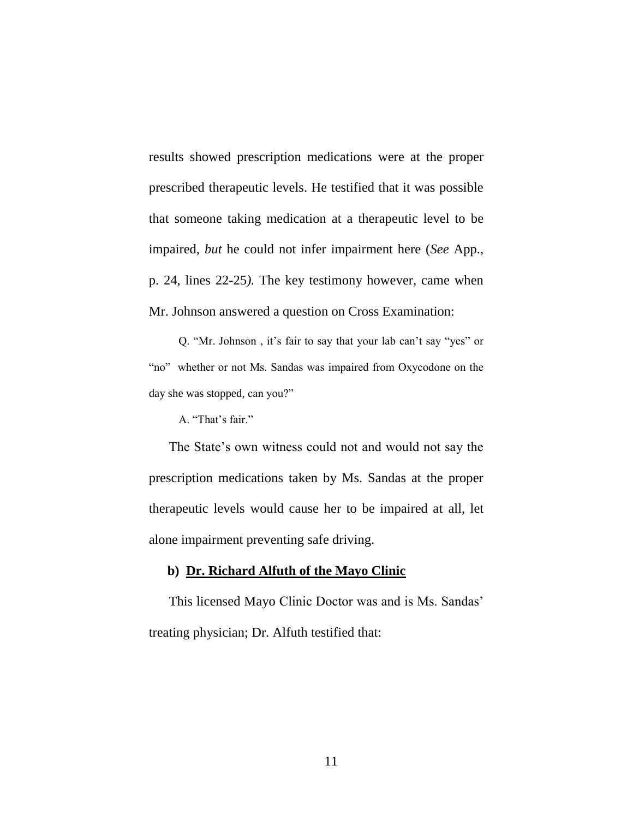results showed prescription medications were at the proper prescribed therapeutic levels. He testified that it was possible that someone taking medication at a therapeutic level to be impaired, *but* he could not infer impairment here (*See* App., p. 24, lines 22-25*).* The key testimony however, came when Mr. Johnson answered a question on Cross Examination:

Q. "Mr. Johnson , it's fair to say that your lab can't say "yes" or "no" whether or not Ms. Sandas was impaired from Oxycodone on the day she was stopped, can you?"

A. "That's fair."

 The State's own witness could not and would not say the prescription medications taken by Ms. Sandas at the proper therapeutic levels would cause her to be impaired at all, let alone impairment preventing safe driving.

#### **b) Dr. Richard Alfuth of the Mayo Clinic**

 This licensed Mayo Clinic Doctor was and is Ms. Sandas' treating physician; Dr. Alfuth testified that: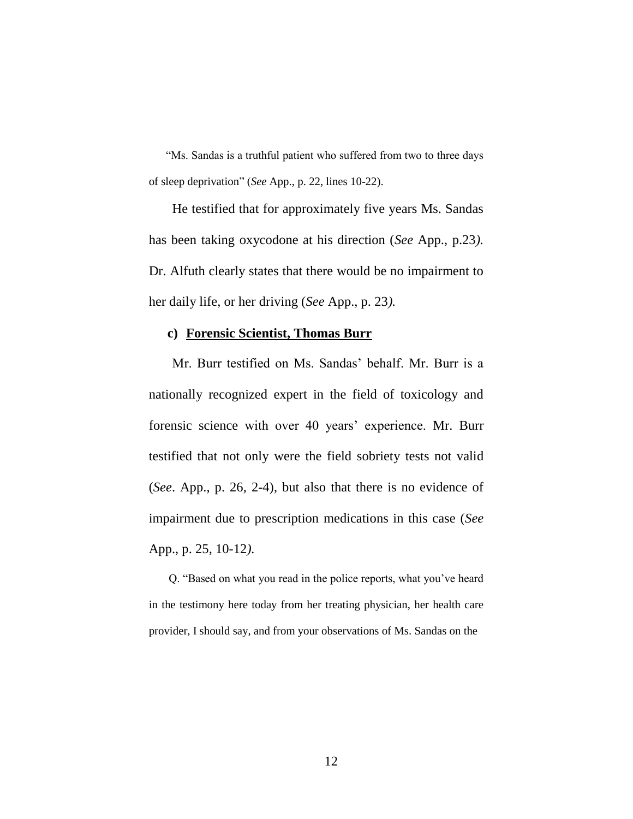"Ms. Sandas is a truthful patient who suffered from two to three days of sleep deprivation" (*See* App., p. 22, lines 10-22).

 He testified that for approximately five years Ms. Sandas has been taking oxycodone at his direction (*See* App., p.23*).* Dr. Alfuth clearly states that there would be no impairment to her daily life, or her driving (*See* App., p. 23*).*

#### **c) Forensic Scientist, Thomas Burr**

 Mr. Burr testified on Ms. Sandas' behalf. Mr. Burr is a nationally recognized expert in the field of toxicology and forensic science with over 40 years' experience. Mr. Burr testified that not only were the field sobriety tests not valid (*See*. App., p. 26*,* 2-4), but also that there is no evidence of impairment due to prescription medications in this case (*See*  App., p. 25*,* 10-12*).*

 Q. "Based on what you read in the police reports, what you've heard in the testimony here today from her treating physician, her health care provider, I should say, and from your observations of Ms. Sandas on the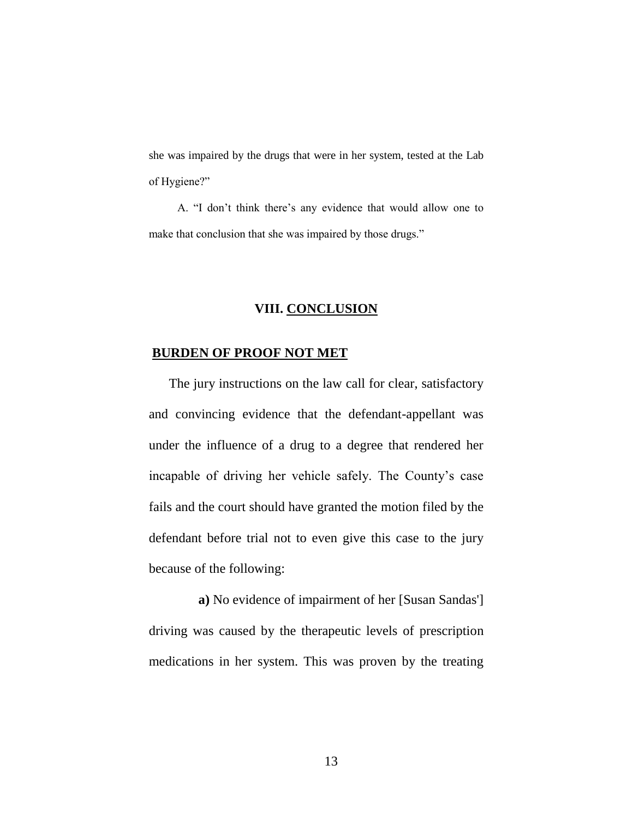she was impaired by the drugs that were in her system, tested at the Lab of Hygiene?"

 A. "I don't think there's any evidence that would allow one to make that conclusion that she was impaired by those drugs."

#### **VIII. CONCLUSION**

#### **BURDEN OF PROOF NOT MET**

 The jury instructions on the law call for clear, satisfactory and convincing evidence that the defendant-appellant was under the influence of a drug to a degree that rendered her incapable of driving her vehicle safely. The County's case fails and the court should have granted the motion filed by the defendant before trial not to even give this case to the jury because of the following:

 **a)** No evidence of impairment of her [Susan Sandas'] driving was caused by the therapeutic levels of prescription medications in her system. This was proven by the treating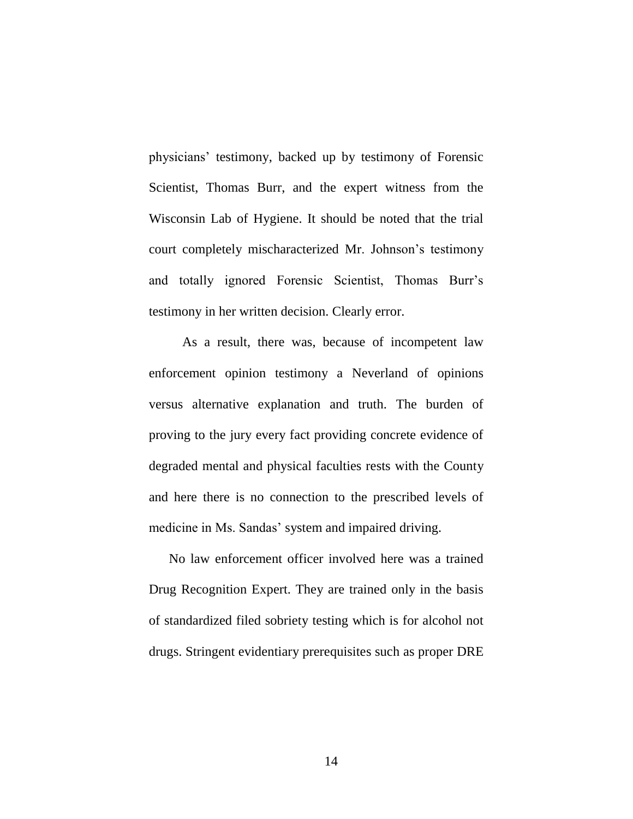physicians' testimony, backed up by testimony of Forensic Scientist, Thomas Burr, and the expert witness from the Wisconsin Lab of Hygiene. It should be noted that the trial court completely mischaracterized Mr. Johnson's testimony and totally ignored Forensic Scientist, Thomas Burr's testimony in her written decision. Clearly error.

As a result, there was, because of incompetent law enforcement opinion testimony a Neverland of opinions versus alternative explanation and truth. The burden of proving to the jury every fact providing concrete evidence of degraded mental and physical faculties rests with the County and here there is no connection to the prescribed levels of medicine in Ms. Sandas' system and impaired driving.

 No law enforcement officer involved here was a trained Drug Recognition Expert. They are trained only in the basis of standardized filed sobriety testing which is for alcohol not drugs. Stringent evidentiary prerequisites such as proper DRE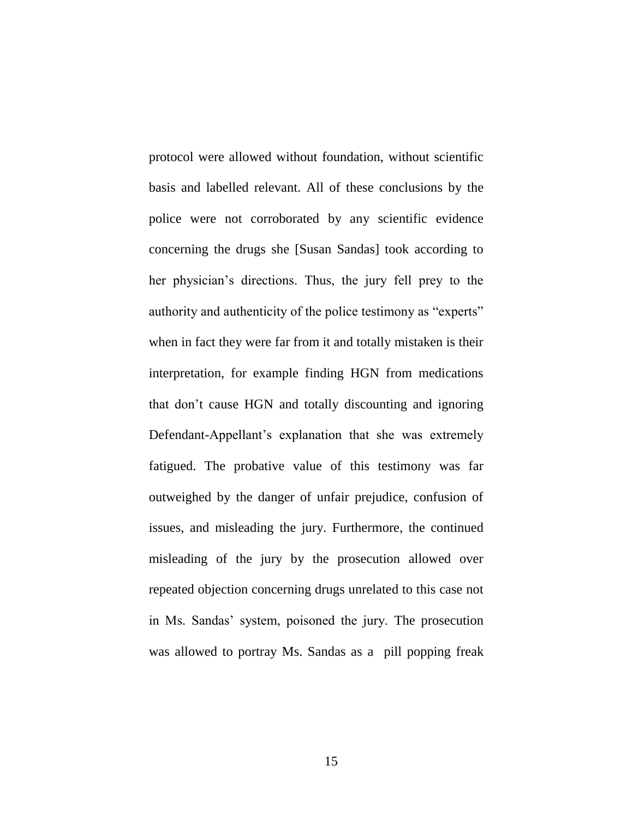protocol were allowed without foundation, without scientific basis and labelled relevant. All of these conclusions by the police were not corroborated by any scientific evidence concerning the drugs she [Susan Sandas] took according to her physician's directions. Thus, the jury fell prey to the authority and authenticity of the police testimony as "experts" when in fact they were far from it and totally mistaken is their interpretation, for example finding HGN from medications that don't cause HGN and totally discounting and ignoring Defendant-Appellant's explanation that she was extremely fatigued. The probative value of this testimony was far outweighed by the danger of unfair prejudice, confusion of issues, and misleading the jury. Furthermore, the continued misleading of the jury by the prosecution allowed over repeated objection concerning drugs unrelated to this case not in Ms. Sandas' system, poisoned the jury. The prosecution was allowed to portray Ms. Sandas as a pill popping freak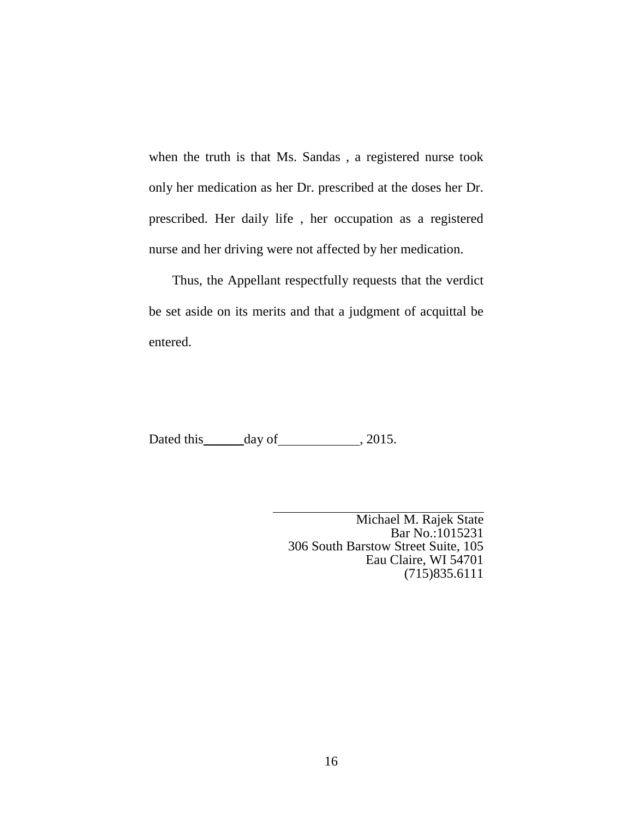when the truth is that Ms. Sandas , a registered nurse took only her medication as her Dr. prescribed at the doses her Dr. prescribed. Her daily life , her occupation as a registered nurse and her driving were not affected by her medication.

 Thus, the Appellant respectfully requests that the verdict be set aside on its merits and that a judgment of acquittal be entered.

Dated this \_\_\_\_\_\_day of \_\_\_\_\_\_\_\_\_\_\_\_, 2015.

**Michael M. Rajek State** Bar No.:1015231 306 South Barstow Street Suite, 105 Eau Claire, WI 54701 (715)835.6111

l,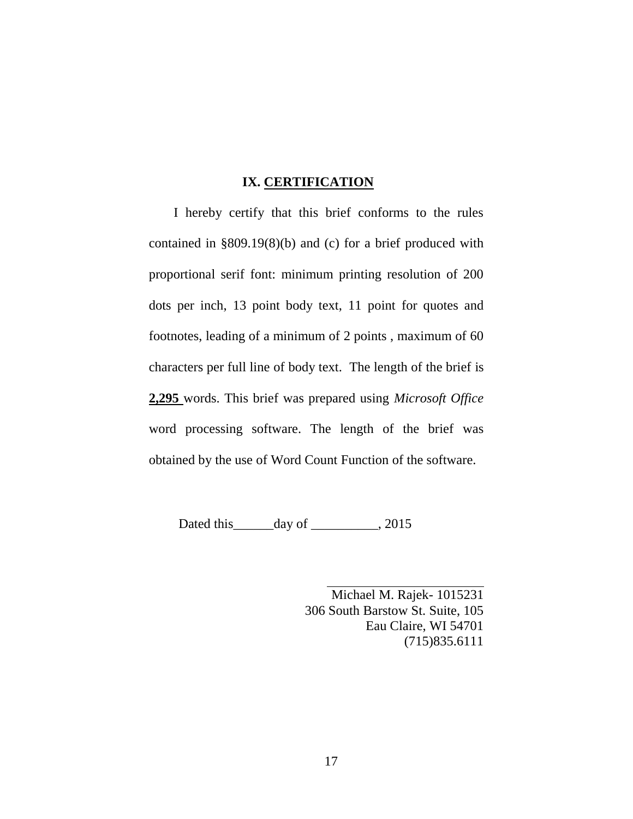#### **IX. CERTIFICATION**

 I hereby certify that this brief conforms to the rules contained in §809.19(8)(b) and (c) for a brief produced with proportional serif font: minimum printing resolution of 200 dots per inch, 13 point body text, 11 point for quotes and footnotes, leading of a minimum of 2 points , maximum of 60 characters per full line of body text. The length of the brief is **2,295** words. This brief was prepared using *Microsoft Office*  word processing software. The length of the brief was obtained by the use of Word Count Function of the software.

Dated this day of \_\_\_\_\_\_\_\_, 2015

 Michael M. Rajek- 1015231 306 South Barstow St. Suite, 105 Eau Claire, WI 54701 (715)835.6111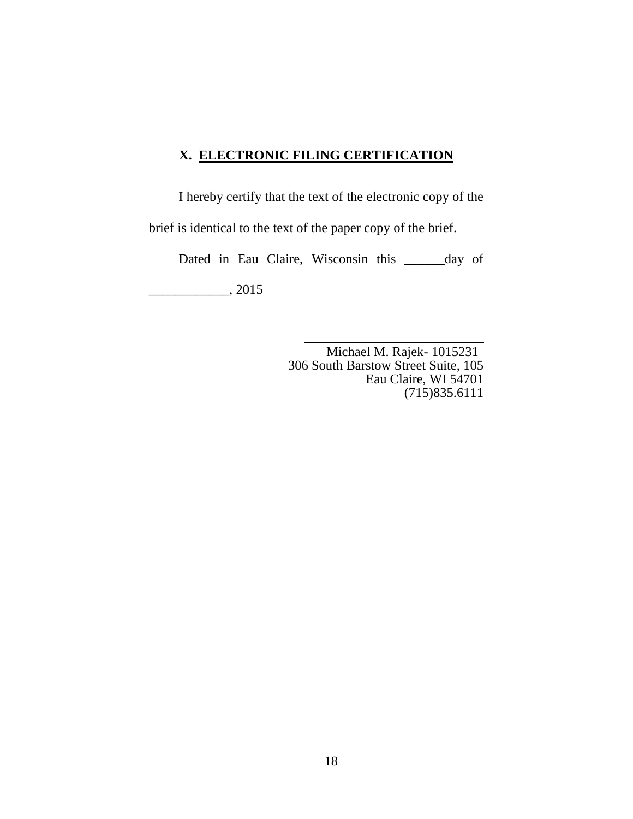## **X. ELECTRONIC FILING CERTIFICATION**

I hereby certify that the text of the electronic copy of the

brief is identical to the text of the paper copy of the brief.

Dated in Eau Claire, Wisconsin this \_\_\_\_\_\_day of

\_\_\_\_\_\_\_\_\_\_\_\_, 2015

Michael M. Rajek- 1015231 306 South Barstow Street Suite, 105 Eau Claire, WI 54701 (715)835.6111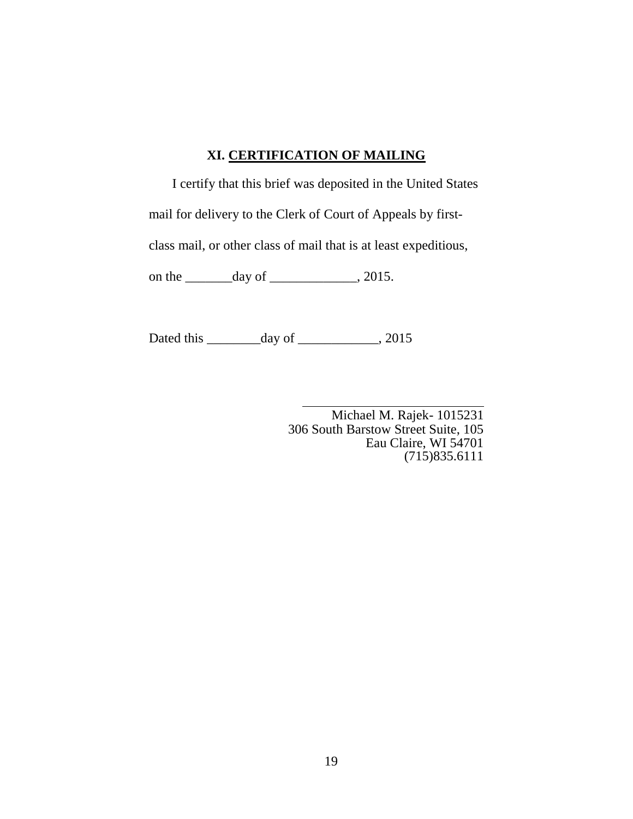## **XI. CERTIFICATION OF MAILING**

 I certify that this brief was deposited in the United States mail for delivery to the Clerk of Court of Appeals by firstclass mail, or other class of mail that is at least expeditious, on the \_\_\_\_\_\_\_\_ day of \_\_\_\_\_\_\_\_\_\_\_\_, 2015.

Dated this \_\_\_\_\_\_\_\_day of \_\_\_\_\_\_\_\_\_\_\_\_, 2015

 Michael M. Rajek- 1015231 306 South Barstow Street Suite, 105 Eau Claire, WI 54701 (715)835.6111